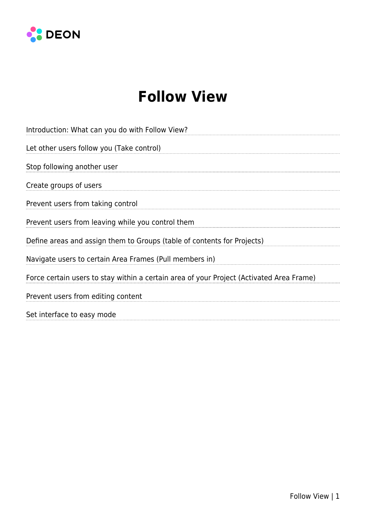

# **Follow View**

| Introduction: What can you do with Follow View?                                          |
|------------------------------------------------------------------------------------------|
| Let other users follow you (Take control)                                                |
| Stop following another user                                                              |
| Create groups of users                                                                   |
| Prevent users from taking control                                                        |
| Prevent users from leaving while you control them                                        |
| Define areas and assign them to Groups (table of contents for Projects)                  |
| Navigate users to certain Area Frames (Pull members in)                                  |
| Force certain users to stay within a certain area of your Project (Activated Area Frame) |
| Prevent users from editing content                                                       |
| Set interface to easy mode                                                               |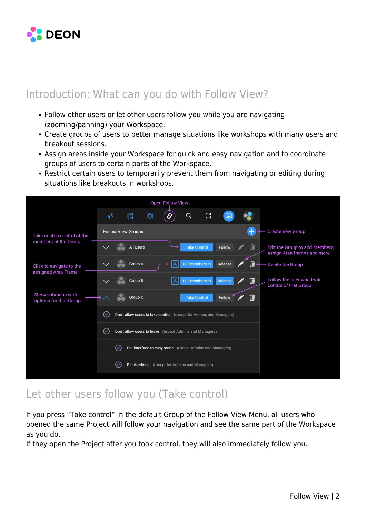

## Introduction: What can you do with Follow View?

- Follow other users or let other users follow you while you are navigating (zooming/panning) your Workspace.
- Create groups of users to better manage situations like workshops with many users and breakout sessions.
- Assign areas inside your Workspace for quick and easy navigation and to coordinate groups of users to certain parts of the Workspace.
- Restrict certain users to temporarily prevent them from navigating or editing during situations like breakouts in workshops.



## Let other users follow you (Take control)

If you press "Take control" in the default Group of the Follow View Menu, all users who opened the same Project will follow your navigation and see the same part of the Workspace as you do.

If they open the Project after you took control, they will also immediately follow you.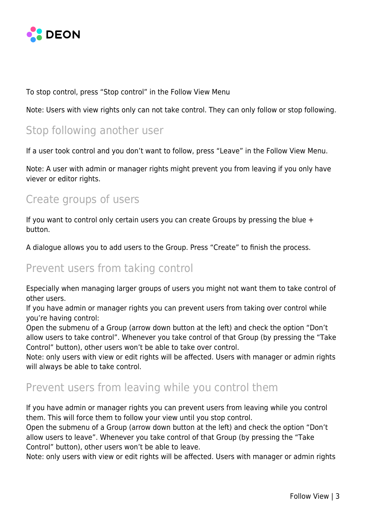

To stop control, press "Stop control" in the Follow View Menu

Note: Users with view rights only can not take control. They can only follow or stop following.

## Stop following another user

If a user took control and you don't want to follow, press "Leave" in the Follow View Menu.

Note: A user with admin or manager rights might prevent you from leaving if you only have viever or editor rights.

## Create groups of users

If you want to control only certain users you can create Groups by pressing the blue + button.

A dialogue allows you to add users to the Group. Press "Create" to finish the process.

## Prevent users from taking control

Especially when managing larger groups of users you might not want them to take control of other users.

If you have admin or manager rights you can prevent users from taking over control while you're having control:

Open the submenu of a Group (arrow down button at the left) and check the option "Don't allow users to take control". Whenever you take control of that Group (by pressing the "Take Control" button), other users won't be able to take over control.

Note: only users with view or edit rights will be affected. Users with manager or admin rights will always be able to take control.

## Prevent users from leaving while you control them

If you have admin or manager rights you can prevent users from leaving while you control them. This will force them to follow your view until you stop control.

Open the submenu of a Group (arrow down button at the left) and check the option "Don't allow users to leave". Whenever you take control of that Group (by pressing the "Take Control" button), other users won't be able to leave.

Note: only users with view or edit rights will be affected. Users with manager or admin rights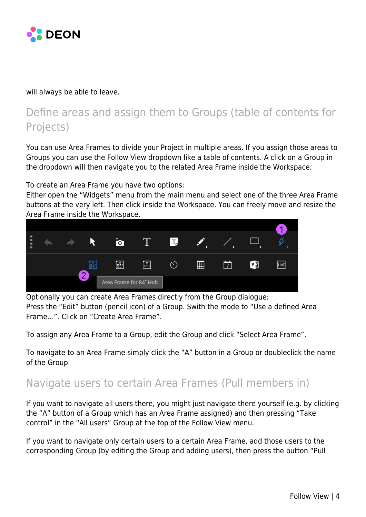

will always be able to leave.

## Define areas and assign them to Groups (table of contents for Projects)

You can use Area Frames to divide your Project in multiple areas. If you assign those areas to Groups you can use the Follow View dropdown like a table of contents. A click on a Group in the dropdown will then navigate you to the related Area Frame inside the Workspace.

To create an Area Frame you have two options:

Either open the "Widgets" menu from the main menu and select one of the three Area Frame buttons at the very left. Then click inside the Workspace. You can freely move and resize the Area Frame inside the Workspace.



Optionally you can create Area Frames directly from the Group dialogue: Press the "Edit" button (pencil icon) of a Group. Swith the mode to "Use a defined Area Frame…". Click on "Create Area Frame".

To assign any Area Frame to a Group, edit the Group and click "Select Area Frame".

To navigate to an Area Frame simply click the "A" button in a Group or doubleclick the name of the Group.

#### Navigate users to certain Area Frames (Pull members in)

If you want to navigate all users there, you might just navigate there yourself (e.g. by clicking the "A" button of a Group which has an Area Frame assigned) and then pressing "Take control" in the "All users" Group at the top of the Follow View menu.

If you want to navigate only certain users to a certain Area Frame, add those users to the corresponding Group (by editing the Group and adding users), then press the button "Pull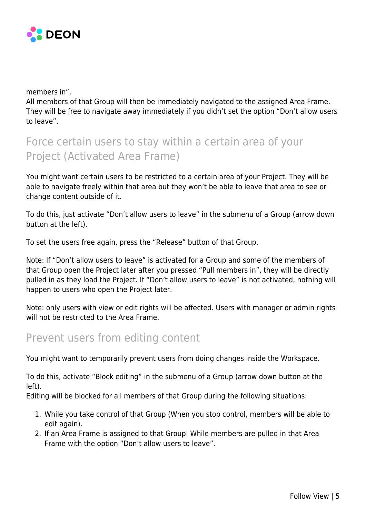

members in".

All members of that Group will then be immediately navigated to the assigned Area Frame. They will be free to navigate away immediately if you didn't set the option "Don't allow users to leave".

# Force certain users to stay within a certain area of your Project (Activated Area Frame)

You might want certain users to be restricted to a certain area of your Project. They will be able to navigate freely within that area but they won't be able to leave that area to see or change content outside of it.

To do this, just activate "Don't allow users to leave" in the submenu of a Group (arrow down button at the left).

To set the users free again, press the "Release" button of that Group.

Note: If "Don't allow users to leave" is activated for a Group and some of the members of that Group open the Project later after you pressed "Pull members in", they will be directly pulled in as they load the Project. If "Don't allow users to leave" is not activated, nothing will happen to users who open the Project later.

Note: only users with view or edit rights will be affected. Users with manager or admin rights will not be restricted to the Area Frame.

#### Prevent users from editing content

You might want to temporarily prevent users from doing changes inside the Workspace.

To do this, activate "Block editing" in the submenu of a Group (arrow down button at the left).

Editing will be blocked for all members of that Group during the following situations:

- 1. While you take control of that Group (When you stop control, members will be able to edit again).
- 2. If an Area Frame is assigned to that Group: While members are pulled in that Area Frame with the option "Don't allow users to leave".